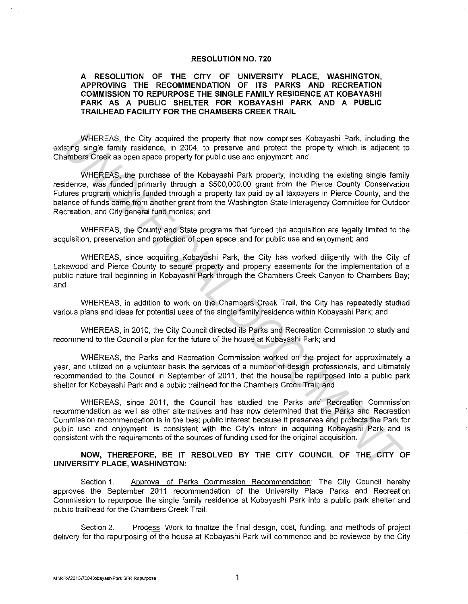## **RESOLUTION NO. 720**

## **A RESOLUTION OF THE CITY OF UNIVERSITY PLACE, WASHINGTON, APPROVING THE RECOMMENDATION OF ITS PARKS AND RECREATION COMMISSION TO REPURPOSE THE SINGLE FAMILY RESIDENCE AT KOBAYASHI PARK AS A PUBLIC SHELTER FOR KOBAYASHI PARK AND A PUBLIC TRAILHEAD FACILITY FOR THE CHAMBERS CREEK TRAIL**

WHEREAS, the City acquired the property that now comprises Kobayashi Park, including the existing single family residence, in 2004, to preserve and protect the property which is adjacent to Chambers Creek as open space property for public use and enjoyment; and

WHEREAS, the purchase of the Kobayashi Park property, including the existing single family residence, was funded primarily through a \$500,000.00 grant from the Pierce County Conservation Futures program which is funded through a property tax paid by all taxpayers in Pierce County, and the balance of funds came from another grant from the Washington State lnteragency Committee for Outdoor Recreation, and City general fund monies; and WHEREAS, in City acquired the property that now comprises Kobayashi Park, including thisting single family residence, in 2004, to preserve and proced: the property which is adjacent antitive residence, including the maximi

WHEREAS, the County and State programs that funded the acquisition are legally limited to the acquisition, preservation and protection of open space land for public use and enjoyment; and

WHEREAS, since acquiring Kobayashi Park, the City has worked diligently with the City of Lakewood and Pierce County to secure property and property easements for the implementation of a public nature trail beginning in Kobayashi Park through the Chambers Creek Canyon to Chambers Bay; and

WHEREAS, in addition to work on the Chambers Creek Trail, the City has repeatedly studied various plans and ideas for potential uses of the single family residence within Kobayashi Park; and

WHEREAS, in 2010, the City Council directed its Parks and Recreation Commission to study and recommend to the Council a plan for the future of the house at Kobayashi Park; and

WHEREAS, the Parks and Recreation Commission worked on the project for approximately a year, and utilized on a volunteer basis the services of a number of design professionals, and ultimately recommended to the Council in September of 2011, that the house be repurposed into a public park shelter for Kobayashi Park and a public trailhead for the Chambers Creek Trail; and

WHEREAS, since 2011, the Council has studied the Parks and Recreation Commission recommendation as well as other alternatives and has now determined that the Parks and Recreation Commission recommendation is in the best public interest because it preserves and protects the Park for public use and enjoyment, is consistent with the City's intent in acquiring Kobayashi Park and is consistent with the requirements of the sources of funding used for the original acquisition.

## **NOW, THEREFORE, BE IT RESOLVED BY THE CITY COUNCIL OF THE CITY OF UNIVERSITY PLACE, WASHINGTON:**

Section 1. Approval of Parks Commission Recommendation: The City Council hereby approves the September 2011 recommendation of the University Place Parks and Recreation Commission to repurpose the single family residence at Kobayashi Park into a public park shelter and public trailhead for the Chambers Creek Trail.

Section 2. Process. Work to finalize the final design, cost, funding, and methods of project delivery for the repurposing of the house at Kobayashi Park will commence and be reviewed by the City